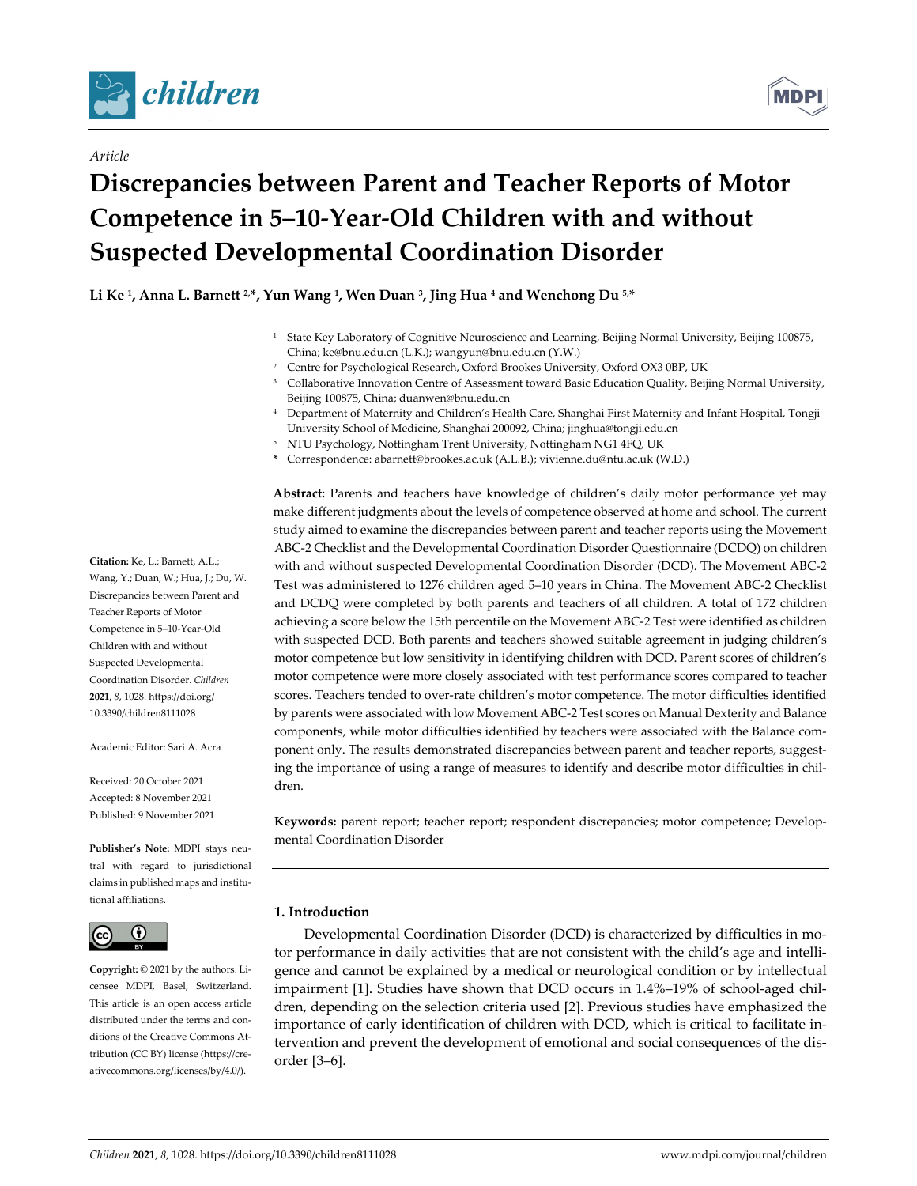



## *Article*

# **Discrepancies between Parent and Teacher Reports of Motor Competence in 5–10‐Year‐Old Children with and without Suspected Developmental Coordination Disorder**

**Li Ke 1, Anna L. Barnett 2,\*, Yun Wang 1, Wen Duan 3, Jing Hua <sup>4</sup> and Wenchong Du 5,\***

- <sup>1</sup> State Key Laboratory of Cognitive Neuroscience and Learning, Beijing Normal University, Beijing 100875, China; ke@bnu.edu.cn (L.K.); wangyun@bnu.edu.cn (Y.W.)
- <sup>2</sup> Centre for Psychological Research, Oxford Brookes University, Oxford OX3 0BP, UK
- <sup>3</sup> Collaborative Innovation Centre of Assessment toward Basic Education Quality, Beijing Normal University, Beijing 100875, China; duanwen@bnu.edu.cn
- <sup>4</sup> Department of Maternity and Children's Health Care, Shanghai First Maternity and Infant Hospital, Tongji University School of Medicine, Shanghai 200092, China; jinghua@tongji.edu.cn
- <sup>5</sup> NTU Psychology, Nottingham Trent University, Nottingham NG1 4FQ, UK
- **\*** Correspondence: abarnett@brookes.ac.uk (A.L.B.); vivienne.du@ntu.ac.uk (W.D.)

**Abstract:** Parents and teachers have knowledge of children's daily motor performance yet may make different judgments about the levels of competence observed at home and school. The current study aimed to examine the discrepancies between parent and teacher reports using the Movement ABC‐2 Checklist and the Developmental Coordination Disorder Questionnaire (DCDQ) on children with and without suspected Developmental Coordination Disorder (DCD). The Movement ABC‐2 Test was administered to 1276 children aged 5–10 years in China. The Movement ABC‐2 Checklist and DCDQ were completed by both parents and teachers of all children. A total of 172 children achieving a score below the 15th percentile on the Movement ABC‐2 Test were identified as children with suspected DCD. Both parents and teachers showed suitable agreement in judging children's motor competence but low sensitivity in identifying children with DCD. Parent scores of children's motor competence were more closely associated with test performance scores compared to teacher scores. Teachers tended to over-rate children's motor competence. The motor difficulties identified by parents were associated with low Movement ABC‐2 Test scores on Manual Dexterity and Balance components, while motor difficulties identified by teachers were associated with the Balance component only. The results demonstrated discrepancies between parent and teacher reports, suggesting the importance of using a range of measures to identify and describe motor difficulties in children.

**Keywords:** parent report; teacher report; respondent discrepancies; motor competence; Develop‐ mental Coordination Disorder

## **1. Introduction**

Developmental Coordination Disorder (DCD) is characterized by difficulties in motor performance in daily activities that are not consistent with the child's age and intelligence and cannot be explained by a medical or neurological condition or by intellectual impairment [1]. Studies have shown that DCD occurs in 1.4%–19% of school-aged children, depending on the selection criteria used [2]. Previous studies have emphasized the importance of early identification of children with DCD, which is critical to facilitate in‐ tervention and prevent the development of emotional and social consequences of the dis‐ order [3–6].

**Citation:** Ke, L.; Barnett, A.L.; Wang, Y.; Duan, W.; Hua, J.; Du, W. Discrepancies between Parent and Teacher Reports of Motor Competence in 5–10‐Year‐Old Children with and without Suspected Developmental Coordination Disorder. *Children* **2021**, *8*, 1028. https://doi.org/ 10.3390/children8111028

Academic Editor: Sari A. Acra

Received: 20 October 2021 Accepted: 8 November 2021 Published: 9 November 2021

**Publisher's Note:** MDPI stays neu‐ tral with regard to jurisdictional claims in published maps and institu‐ tional affiliations.



**Copyright:** © 2021 by the authors. Li‐ censee MDPI, Basel, Switzerland. This article is an open access article distributed under the terms and conditions of the Creative Commons At‐ tribution (CC BY) license (https://cre‐ ativecommons.org/licenses/by/4.0/).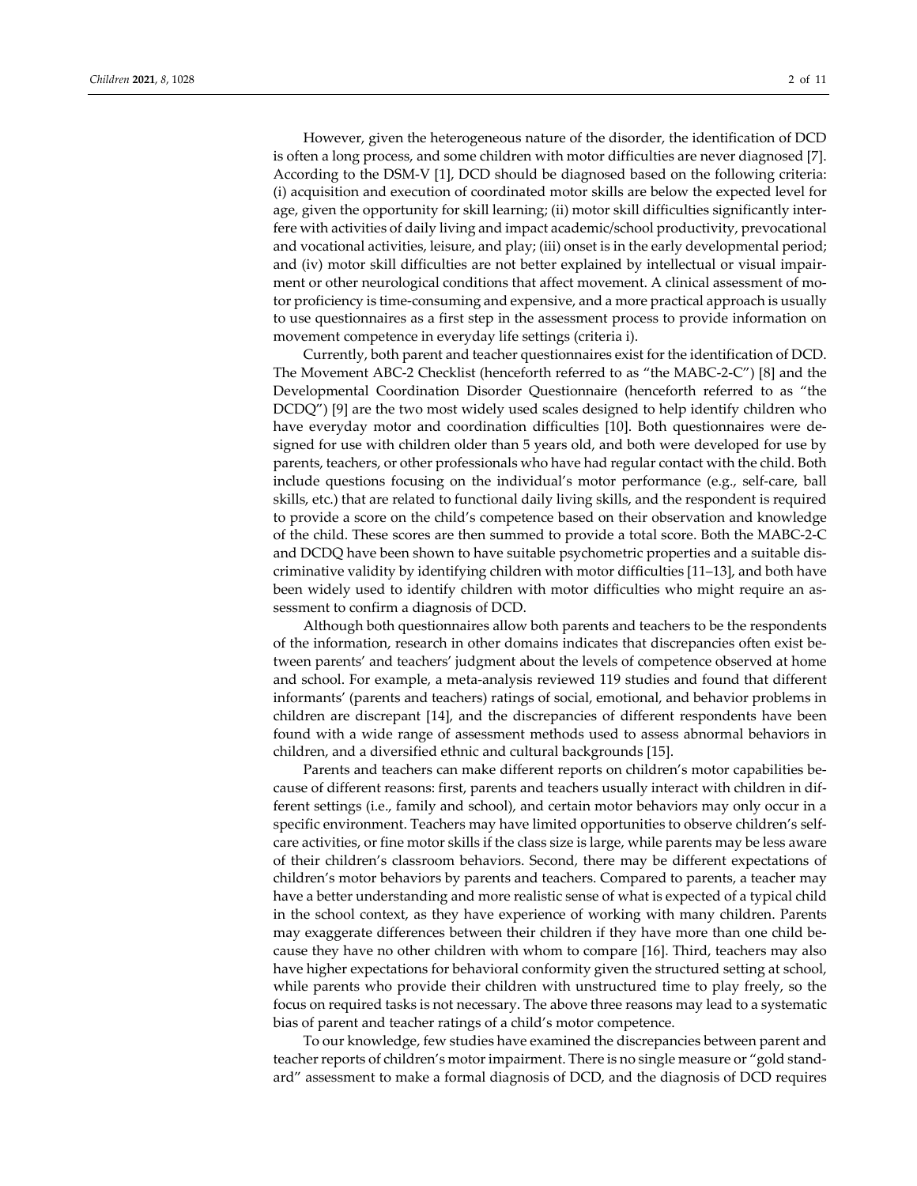However, given the heterogeneous nature of the disorder, the identification of DCD is often a long process, and some children with motor difficulties are never diagnosed [7]. According to the DSM‐V [1], DCD should be diagnosed based on the following criteria: (i) acquisition and execution of coordinated motor skills are below the expected level for age, given the opportunity for skill learning; (ii) motor skill difficulties significantly inter-

fere with activities of daily living and impact academic/school productivity, prevocational and vocational activities, leisure, and play; (iii) onset is in the early developmental period; and (iv) motor skill difficulties are not better explained by intellectual or visual impair‐ ment or other neurological conditions that affect movement. A clinical assessment of motor proficiency is time‐consuming and expensive, and a more practical approach is usually to use questionnaires as a first step in the assessment process to provide information on movement competence in everyday life settings (criteria i).

Currently, both parent and teacher questionnaires exist for the identification of DCD. The Movement ABC‐2 Checklist (henceforth referred to as "the MABC‐2‐C") [8] and the Developmental Coordination Disorder Questionnaire (henceforth referred to as "the DCDQ") [9] are the two most widely used scales designed to help identify children who have everyday motor and coordination difficulties [10]. Both questionnaires were de‐ signed for use with children older than 5 years old, and both were developed for use by parents, teachers, or other professionals who have had regular contact with the child. Both include questions focusing on the individual's motor performance (e.g., self‐care, ball skills, etc.) that are related to functional daily living skills, and the respondent is required to provide a score on the child's competence based on their observation and knowledge of the child. These scores are then summed to provide a total score. Both the MABC‐2‐C and DCDQ have been shown to have suitable psychometric properties and a suitable dis‐ criminative validity by identifying children with motor difficulties [11–13], and both have been widely used to identify children with motor difficulties who might require an assessment to confirm a diagnosis of DCD.

Although both questionnaires allow both parents and teachers to be the respondents of the information, research in other domains indicates that discrepancies often exist be‐ tween parents' and teachers' judgment about the levels of competence observed at home and school. For example, a meta‐analysis reviewed 119 studies and found that different informants' (parents and teachers) ratings of social, emotional, and behavior problems in children are discrepant [14], and the discrepancies of different respondents have been found with a wide range of assessment methods used to assess abnormal behaviors in children, and a diversified ethnic and cultural backgrounds [15].

Parents and teachers can make different reports on children's motor capabilities be‐ cause of different reasons: first, parents and teachers usually interact with children in dif‐ ferent settings (i.e., family and school), and certain motor behaviors may only occur in a specific environment. Teachers may have limited opportunities to observe children's selfcare activities, or fine motor skills if the class size is large, while parents may be less aware of their children's classroom behaviors. Second, there may be different expectations of children's motor behaviors by parents and teachers. Compared to parents, a teacher may have a better understanding and more realistic sense of what is expected of a typical child in the school context, as they have experience of working with many children. Parents may exaggerate differences between their children if they have more than one child because they have no other children with whom to compare [16]. Third, teachers may also have higher expectations for behavioral conformity given the structured setting at school, while parents who provide their children with unstructured time to play freely, so the focus on required tasks is not necessary. The above three reasons may lead to a systematic bias of parent and teacher ratings of a child's motor competence.

To our knowledge, few studies have examined the discrepancies between parent and teacher reports of children's motor impairment. There is no single measure or "gold standard" assessment to make a formal diagnosis of DCD, and the diagnosis of DCD requires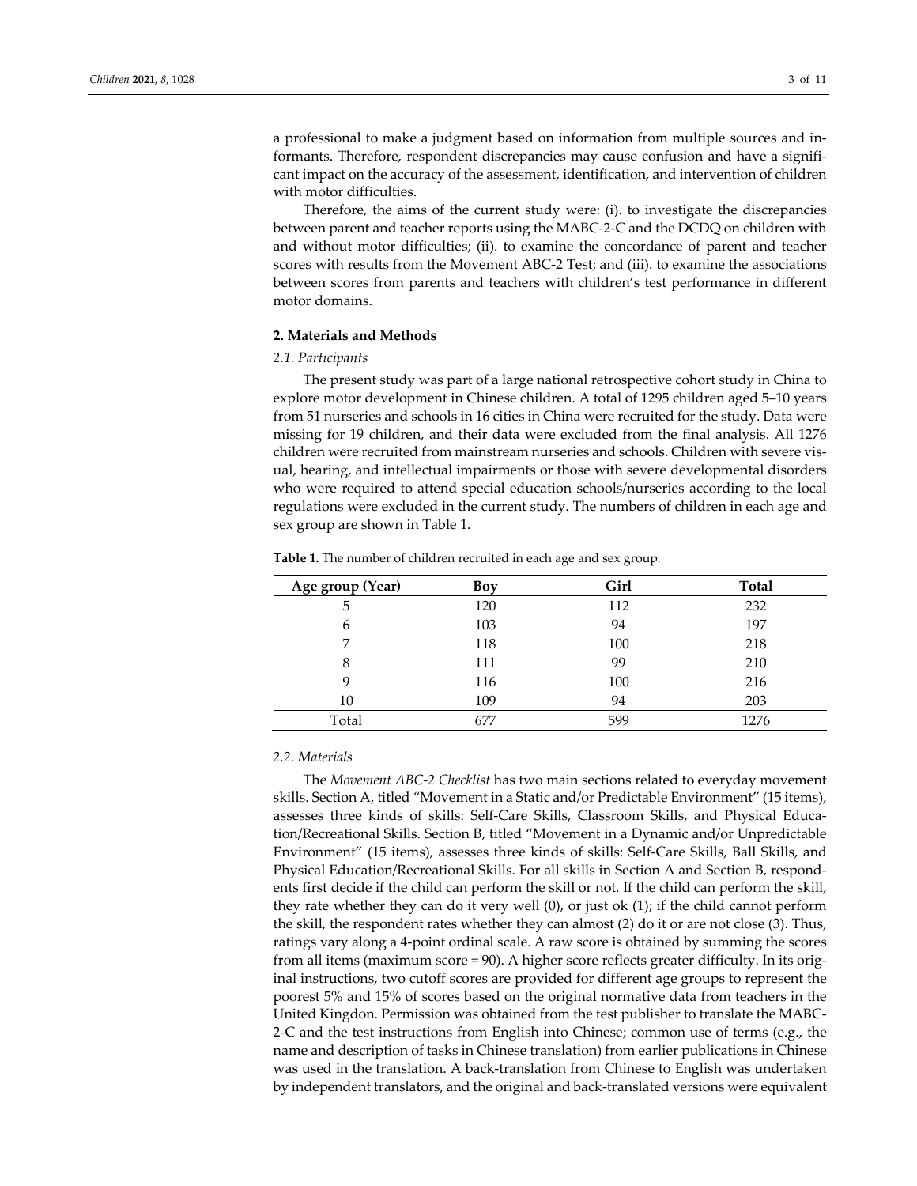a professional to make a judgment based on information from multiple sources and in‐ formants. Therefore, respondent discrepancies may cause confusion and have a signifi‐ cant impact on the accuracy of the assessment, identification, and intervention of children with motor difficulties.

Therefore, the aims of the current study were: (i). to investigate the discrepancies between parent and teacher reports using the MABC‐2‐C and the DCDQ on children with and without motor difficulties; (ii). to examine the concordance of parent and teacher scores with results from the Movement ABC‐2 Test; and (iii). to examine the associations between scores from parents and teachers with children's test performance in different motor domains.

### **2. Materials and Methods**

#### *2.1. Participants*

The present study was part of a large national retrospective cohort study in China to explore motor development in Chinese children. A total of 1295 children aged 5–10 years from 51 nurseries and schools in 16 cities in China were recruited for the study. Data were missing for 19 children, and their data were excluded from the final analysis. All 1276 children were recruited from mainstream nurseries and schools. Children with severe vis‐ ual, hearing, and intellectual impairments or those with severe developmental disorders who were required to attend special education schools/nurseries according to the local regulations were excluded in the current study. The numbers of children in each age and sex group are shown in Table 1.

| Table 1. The number of children recruited in each age and sex group. |  |  |  |
|----------------------------------------------------------------------|--|--|--|
|                                                                      |  |  |  |

| Age group (Year) | Boy | Girl | <b>Total</b> |
|------------------|-----|------|--------------|
| 5                | 120 | 112  | 232          |
| 6                | 103 | 94   | 197          |
| 7                | 118 | 100  | 218          |
| 8                | 111 | 99   | 210          |
| 9                | 116 | 100  | 216          |
| 10               | 109 | 94   | 203          |
| Total            | 677 | 599  | 1276         |

## *2.2. Materials*

The *Movement ABC‐2 Checklist* has two main sections related to everyday movement skills. Section A, titled "Movement in a Static and/or Predictable Environment" (15 items), assesses three kinds of skills: Self‐Care Skills, Classroom Skills, and Physical Educa‐ tion/Recreational Skills. Section B, titled "Movement in a Dynamic and/or Unpredictable Environment" (15 items), assesses three kinds of skills: Self‐Care Skills, Ball Skills, and Physical Education/Recreational Skills. For all skills in Section A and Section B, respond‐ ents first decide if the child can perform the skill or not. If the child can perform the skill, they rate whether they can do it very well (0), or just ok (1); if the child cannot perform the skill, the respondent rates whether they can almost (2) do it or are not close (3). Thus, ratings vary along a 4‐point ordinal scale. A raw score is obtained by summing the scores from all items (maximum score = 90). A higher score reflects greater difficulty. In its orig‐ inal instructions, two cutoff scores are provided for different age groups to represent the poorest 5% and 15% of scores based on the original normative data from teachers in the United Kingdon. Permission was obtained from the test publisher to translate the MABC‐ 2‐C and the test instructions from English into Chinese; common use of terms (e.g., the name and description of tasks in Chinese translation) from earlier publications in Chinese was used in the translation. A back-translation from Chinese to English was undertaken by independent translators, and the original and back‐translated versions were equivalent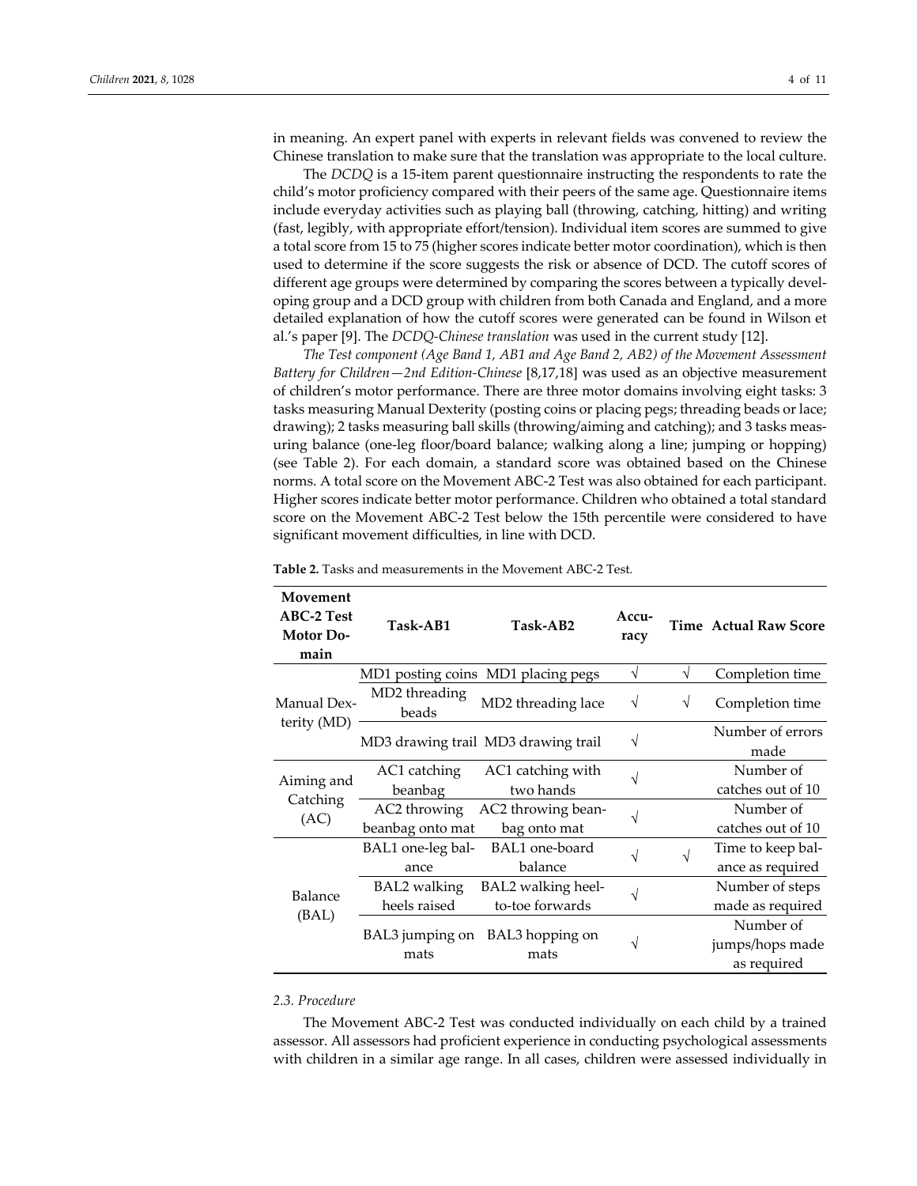in meaning. An expert panel with experts in relevant fields was convened to review the Chinese translation to make sure that the translation was appropriate to the local culture.

The *DCDQ* is a 15‐item parent questionnaire instructing the respondents to rate the child's motor proficiency compared with their peers of the same age. Questionnaire items include everyday activities such as playing ball (throwing, catching, hitting) and writing (fast, legibly, with appropriate effort/tension). Individual item scores are summed to give a total score from 15 to 75 (higher scores indicate better motor coordination), which is then used to determine if the score suggests the risk or absence of DCD. The cutoff scores of different age groups were determined by comparing the scores between a typically developing group and a DCD group with children from both Canada and England, and a more detailed explanation of how the cutoff scores were generated can be found in Wilson et al.'s paper [9]. The *DCDQ‐Chinese translation* was used in the current study [12].

*The Test component (Age Band 1, AB1 and Age Band 2, AB2) of the Movement Assessment Battery for Children—2nd Edition‐Chinese* [8,17,18] was used as an objective measurement of children's motor performance. There are three motor domains involving eight tasks: 3 tasks measuring Manual Dexterity (posting coins or placing pegs; threading beads or lace; drawing); 2 tasks measuring ball skills (throwing/aiming and catching); and 3 tasks meas‐ uring balance (one‐leg floor/board balance; walking along a line; jumping or hopping) (see Table 2). For each domain, a standard score was obtained based on the Chinese norms. A total score on the Movement ABC‐2 Test was also obtained for each participant. Higher scores indicate better motor performance. Children who obtained a total standard score on the Movement ABC-2 Test below the 15th percentile were considered to have significant movement difficulties, in line with DCD.

| Movement<br><b>ABC-2 Test</b><br><b>Motor Do-</b><br>main | Task-AB1               | Task-AB2                            | Accu-<br>racy |            | <b>Time Actual Raw Score</b> |
|-----------------------------------------------------------|------------------------|-------------------------------------|---------------|------------|------------------------------|
|                                                           |                        | MD1 posting coins MD1 placing pegs  | $\sqrt{ }$    | $\sqrt{ }$ | Completion time              |
| Manual Dex-                                               | MD2 threading<br>beads | MD2 threading lace                  | $\sqrt{}$     | $\sqrt{}$  | Completion time              |
| terity (MD)                                               |                        | MD3 drawing trail MD3 drawing trail | V             |            | Number of errors<br>made     |
| Aiming and                                                | AC1 catching           | AC1 catching with                   | V             |            | Number of                    |
|                                                           | beanbag                | two hands                           |               |            | catches out of 10            |
| Catching                                                  | AC2 throwing           | AC2 throwing bean-                  | V             |            | Number of                    |
| (AC)                                                      | beanbag onto mat       | bag onto mat                        |               |            | catches out of 10            |
|                                                           | BAL1 one-leg bal-      | BAL1 one-board                      |               | V          | Time to keep bal-            |
|                                                           | ance                   | balance                             |               |            | ance as required             |
| Balance                                                   | <b>BAL2</b> walking    | BAL2 walking heel-                  |               |            | Number of steps              |
| (BAL)                                                     | heels raised           | to-toe forwards                     |               |            | made as required             |
|                                                           |                        |                                     |               |            | Number of                    |
|                                                           | BAL3 jumping on        | BAL3 hopping on                     | N             |            | jumps/hops made              |
|                                                           | mats                   | mats                                |               |            | as required                  |

**Table 2.** Tasks and measurements in the Movement ABC‐2 Test*.*

#### *2.3. Procedure*

The Movement ABC‐2 Test was conducted individually on each child by a trained assessor. All assessors had proficient experience in conducting psychological assessments with children in a similar age range. In all cases, children were assessed individually in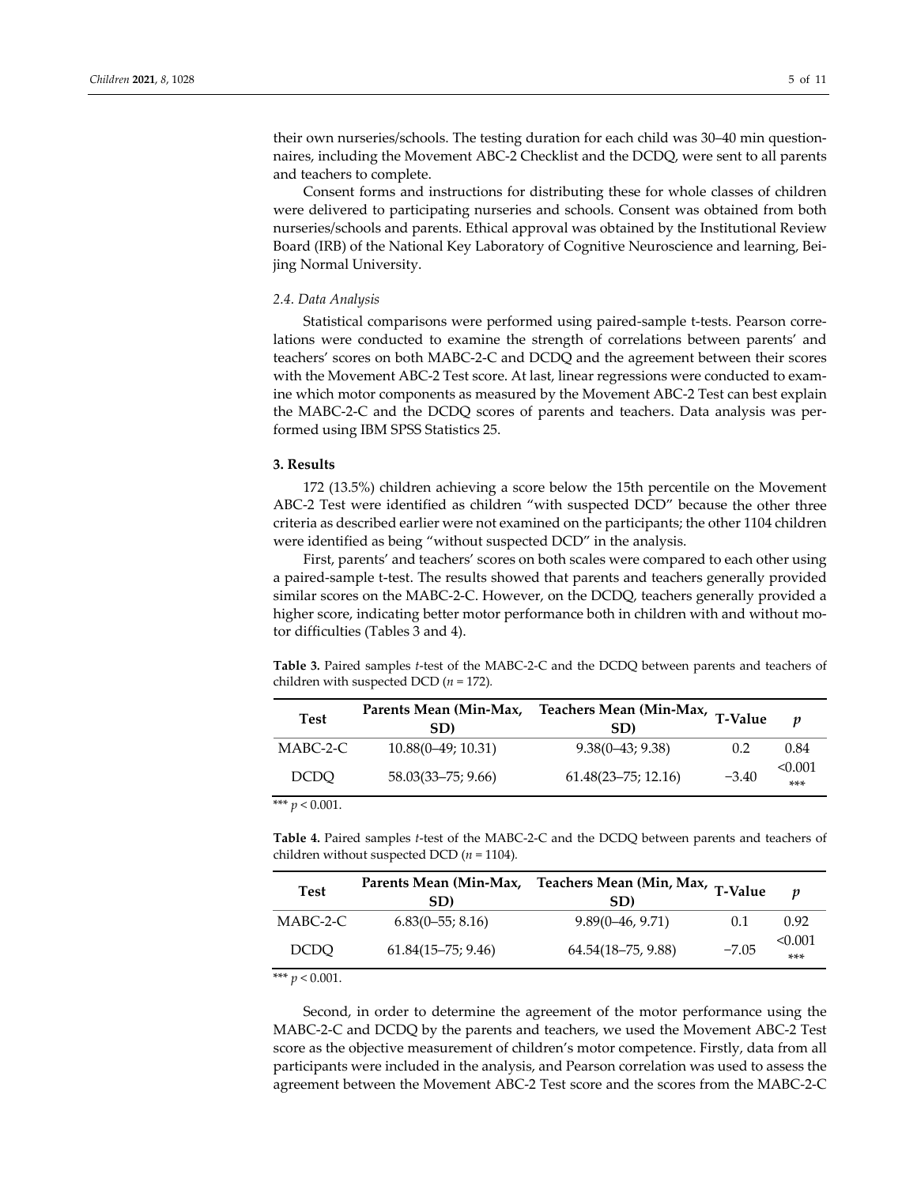their own nurseries/schools. The testing duration for each child was 30–40 min questionnaires, including the Movement ABC‐2 Checklist and the DCDQ, were sent to all parents and teachers to complete.

Consent forms and instructions for distributing these for whole classes of children were delivered to participating nurseries and schools. Consent was obtained from both nurseries/schools and parents. Ethical approval was obtained by the Institutional Review Board (IRB) of the National Key Laboratory of Cognitive Neuroscience and learning, Bei‐ jing Normal University.

#### *2.4. Data Analysis*

Statistical comparisons were performed using paired‐sample t‐tests. Pearson corre‐ lations were conducted to examine the strength of correlations between parents' and teachers' scores on both MABC‐2‐C and DCDQ and the agreement between their scores with the Movement ABC-2 Test score. At last, linear regressions were conducted to examine which motor components as measured by the Movement ABC‐2 Test can best explain the MABC-2-C and the DCDQ scores of parents and teachers. Data analysis was performed using IBM SPSS Statistics 25.

#### **3. Results**

172 (13.5%) children achieving a score below the 15th percentile on the Movement ABC-2 Test were identified as children "with suspected DCD" because the other three criteria as described earlier were not examined on the participants; the other 1104 children were identified as being "without suspected DCD" in the analysis.

First, parents' and teachers' scores on both scales were compared to each other using a paired‐sample t‐test. The results showed that parents and teachers generally provided similar scores on the MABC‐2‐C. However, on the DCDQ, teachers generally provided a higher score, indicating better motor performance both in children with and without motor difficulties (Tables 3 and 4).

**Table 3***.* Paired samples *t*‐test of the MABC‐2‐C and the DCDQ between parents and teachers of children with suspected DCD  $(n = 172)$ *.* 

| <b>Test</b> |                      | Parents Mean (Min-Max, Teachers Mean (Min-Max, T-Value |         |                |  |
|-------------|----------------------|--------------------------------------------------------|---------|----------------|--|
|             | SD)                  | SD)                                                    |         | p              |  |
| MABC-2-C    | $10.88(0-49; 10.31)$ | $9.38(0-43; 9.38)$                                     | 0.2     | 0.84           |  |
| <b>DCDO</b> | 58.03(33–75; 9.66)   | $61.48(23 - 75; 12.16)$                                | $-3.40$ | < 0.001<br>*** |  |

\*\*\*  $p < 0.001$ .

**Table 4.** Paired samples *t*‐test of the MABC‐2‐C and the DCDQ between parents and teachers of children without suspected DCD (*n* = 1104)*.*

| <b>Test</b>       | SD)                    | Parents Mean (Min-Max, Teachers Mean (Min, Max, T-Value<br>SD) |         | $\boldsymbol{v}$ |
|-------------------|------------------------|----------------------------------------------------------------|---------|------------------|
| MABC-2-C          | $6.83(0-55; 8.16)$     | $9.89(0-46, 9.71)$                                             | 0.1     | 0.92             |
| <b>DCDO</b>       | $61.84(15 - 75; 9.46)$ | $64.54(18 - 75, 9.88)$                                         | $-7.05$ | < 0.001<br>$***$ |
| *** $p < 0.001$ . |                        |                                                                |         |                  |

Second, in order to determine the agreement of the motor performance using the MABC‐2‐C and DCDQ by the parents and teachers, we used the Movement ABC‐2 Test score as the objective measurement of children's motor competence. Firstly, data from all participants were included in the analysis, and Pearson correlation was used to assess the agreement between the Movement ABC‐2 Test score and the scores from the MABC‐2‐C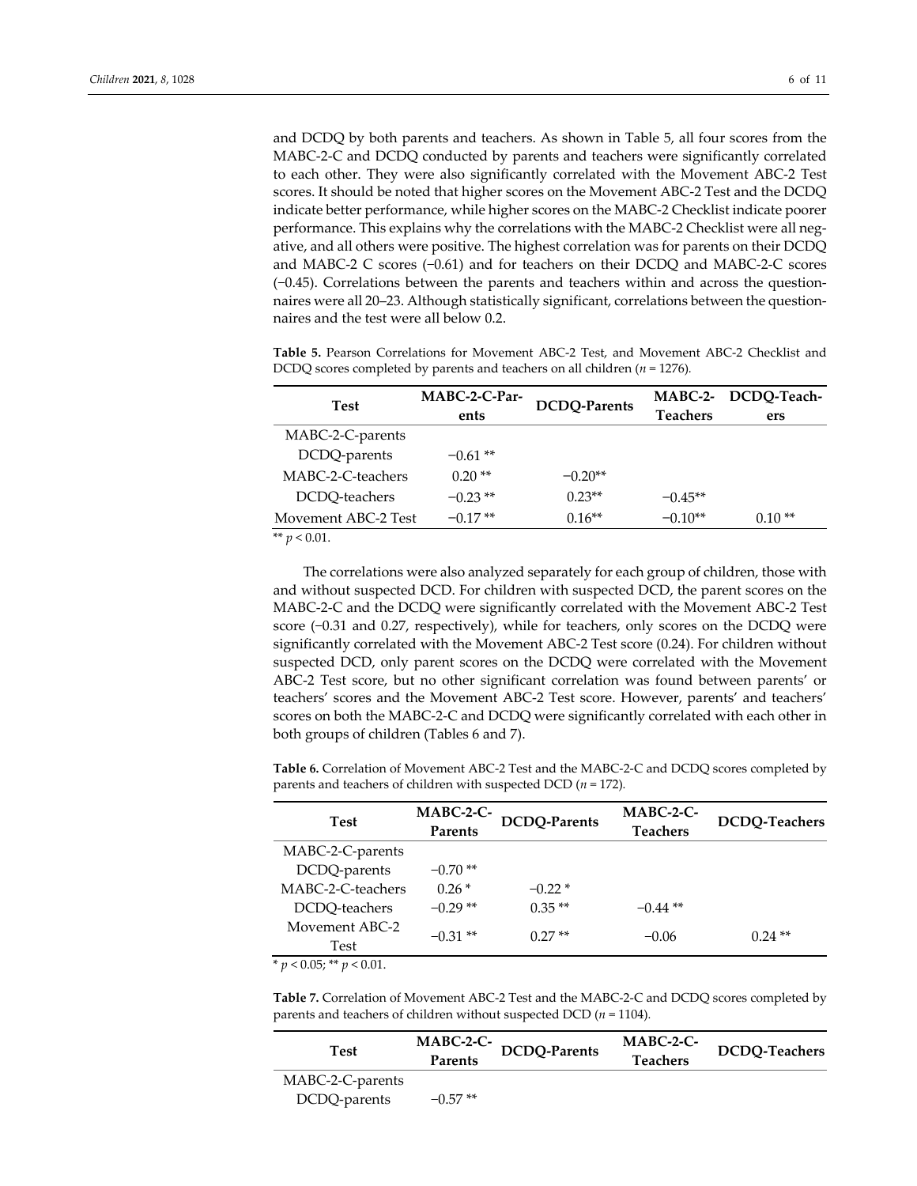and DCDQ by both parents and teachers. As shown in Table 5, all four scores from the MABC‐2‐C and DCDQ conducted by parents and teachers were significantly correlated to each other. They were also significantly correlated with the Movement ABC‐2 Test scores. It should be noted that higher scores on the Movement ABC‐2 Test and the DCDQ indicate better performance, while higher scores on the MABC‐2 Checklist indicate poorer performance. This explains why the correlations with the MABC-2 Checklist were all negative, and all others were positive. The highest correlation was for parents on their DCDQ and MABC‐2 C scores (−0.61) and for teachers on their DCDQ and MABC‐2‐C scores (−0.45). Correlations between the parents and teachers within and across the question‐ naires were all 20–23. Although statistically significant, correlations between the questionnaires and the test were all below 0.2.

**Table 5.** Pearson Correlations for Movement ABC‐2 Test, and Movement ABC‐2 Checklist and DCDQ scores completed by parents and teachers on all children (*n* = 1276)*.*

|                     | MABC-2-C-Par-        |           |                 | MABC-2- DCDQ-Teach- |
|---------------------|----------------------|-----------|-----------------|---------------------|
| Test                | DCDQ-Parents<br>ents |           | <b>Teachers</b> | ers                 |
| MABC-2-C-parents    |                      |           |                 |                     |
| DCDQ-parents        | $-0.61$ **           |           |                 |                     |
| MABC-2-C-teachers   | $0.20**$             | $-0.20**$ |                 |                     |
| DCDQ-teachers       | $-0.23**$            | $0.23**$  | $-0.45**$       |                     |
| Movement ABC-2 Test | $-0.17**$            | $0.16**$  | $-0.10**$       | $0.10**$            |

\*\*  $p < 0.01$ .

The correlations were also analyzed separately for each group of children, those with and without suspected DCD. For children with suspected DCD, the parent scores on the MABC‐2‐C and the DCDQ were significantly correlated with the Movement ABC‐2 Test score (−0.31 and 0.27, respectively), while for teachers, only scores on the DCDQ were significantly correlated with the Movement ABC‐2 Test score (0.24). For children without suspected DCD, only parent scores on the DCDQ were correlated with the Movement ABC‐2 Test score, but no other significant correlation was found between parents' or teachers' scores and the Movement ABC‐2 Test score. However, parents' and teachers' scores on both the MABC‐2‐C and DCDQ were significantly correlated with each other in both groups of children (Tables 6 and 7).

**Table 6.** Correlation of Movement ABC‐2 Test and the MABC‐2‐C and DCDQ scores completed by parents and teachers of children with suspected DCD (*n* = 172)*.*

| <b>Test</b>            | MABC-2-C-<br><b>Parents</b> | DCDQ-Parents | $MABC-2-C-$<br><b>Teachers</b> | DCDQ-Teachers |
|------------------------|-----------------------------|--------------|--------------------------------|---------------|
| MABC-2-C-parents       |                             |              |                                |               |
| DCDQ-parents           | $-0.70**$                   |              |                                |               |
| MABC-2-C-teachers      | $0.26*$                     | $-0.22*$     |                                |               |
| DCDO-teachers          | $-0.29**$                   | $0.35**$     | $-0.44$ **                     |               |
| Movement ABC-2<br>Test | $-0.31**$                   | $0.27**$     | $-0.06$                        | $0.24**$      |

 $*$   $p < 0.05; ** p < 0.01$ .

**Table 7.** Correlation of Movement ABC‐2 Test and the MABC‐2‐C and DCDQ scores completed by parents and teachers of children without suspected DCD (*n* = 1104)*.*

| Test             | $MABC-2-C-$<br>Parents | <b>DCDQ-Parents</b> | $MABC-2-C-$<br>Teachers | <b>DCDQ-Teachers</b> |
|------------------|------------------------|---------------------|-------------------------|----------------------|
| MABC-2-C-parents |                        |                     |                         |                      |
| DCDQ-parents     | $-0.57**$              |                     |                         |                      |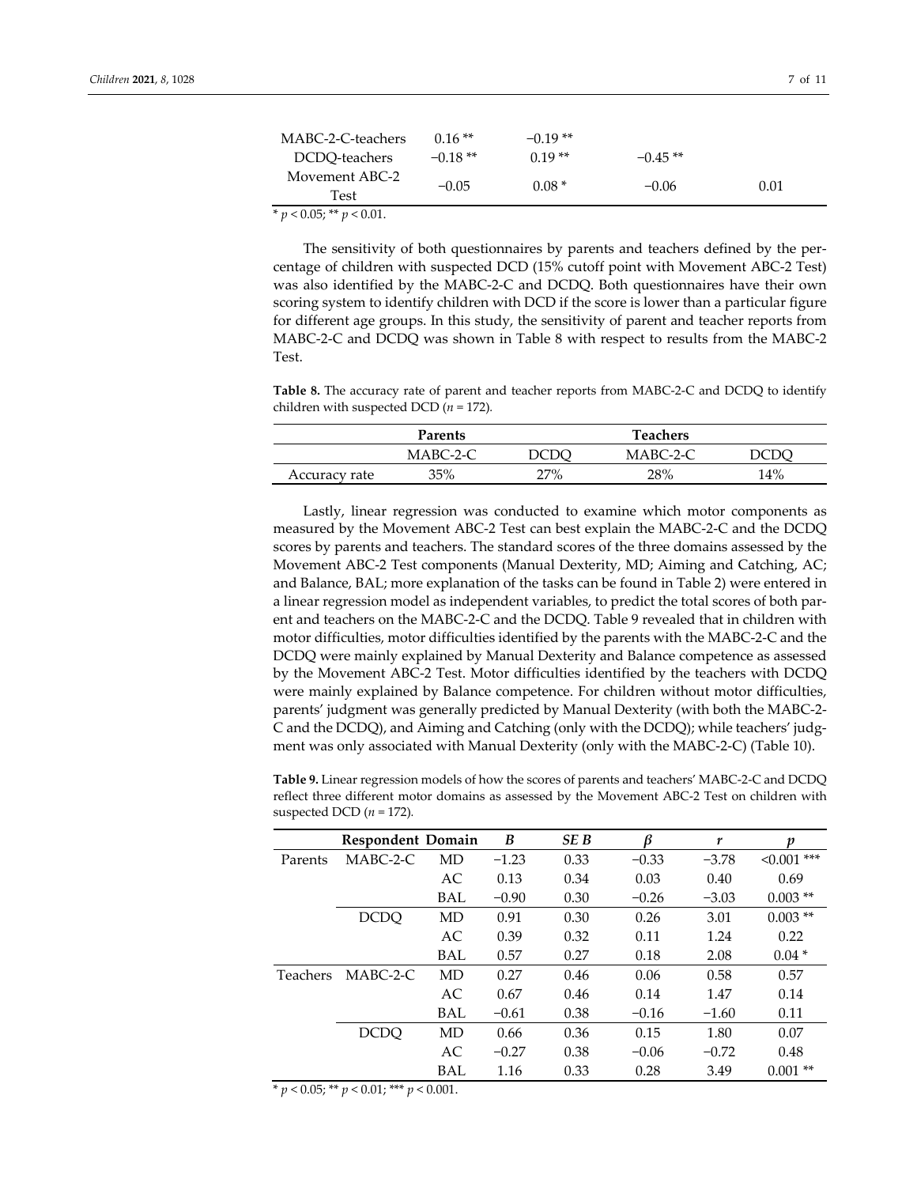| MABC-2-C-teachers | $0.16**$  | $-0.19**$ |           |      |
|-------------------|-----------|-----------|-----------|------|
| DCDO-teachers     | $-0.18**$ | $0.19**$  | $-0.45**$ |      |
| Movement ABC-2    | $-0.05$   | $0.08*$   | $-0.06$   | 0.01 |
| Test              |           |           |           |      |
| -----<br>---      |           |           |           |      |

 $* p < 0.05; ** p < 0.01.$ 

The sensitivity of both questionnaires by parents and teachers defined by the per‐ centage of children with suspected DCD (15% cutoff point with Movement ABC‐2 Test) was also identified by the MABC‐2‐C and DCDQ. Both questionnaires have their own scoring system to identify children with DCD if the score is lower than a particular figure for different age groups. In this study, the sensitivity of parent and teacher reports from MABC‐2‐C and DCDQ was shown in Table 8 with respect to results from the MABC‐2 Test.

**Table 8.** The accuracy rate of parent and teacher reports from MABC‐2‐C and DCDQ to identify children with suspected DCD  $(n = 172)$ *.* 

|               | Parents  |     | <b>Teachers</b> |     |
|---------------|----------|-----|-----------------|-----|
|               | MABC-2-C |     | $MABC-2-C$      |     |
| Accuracy rate | 35%      | 27% | 28%             | 14% |

Lastly, linear regression was conducted to examine which motor components as measured by the Movement ABC‐2 Test can best explain the MABC‐2‐C and the DCDQ scores by parents and teachers. The standard scores of the three domains assessed by the Movement ABC‐2 Test components (Manual Dexterity, MD; Aiming and Catching, AC; and Balance, BAL; more explanation of the tasks can be found in Table 2) were entered in a linear regression model as independent variables, to predict the total scores of both par‐ ent and teachers on the MABC‐2‐C and the DCDQ. Table 9 revealed that in children with motor difficulties, motor difficulties identified by the parents with the MABC‐2‐C and the DCDQ were mainly explained by Manual Dexterity and Balance competence as assessed by the Movement ABC‐2 Test. Motor difficulties identified by the teachers with DCDQ were mainly explained by Balance competence. For children without motor difficulties, parents' judgment was generally predicted by Manual Dexterity (with both the MABC‐2‐ C and the DCDQ), and Aiming and Catching (only with the DCDQ); while teachers' judg‐ ment was only associated with Manual Dexterity (only with the MABC‐2‐C) (Table 10).

**Table 9.** Linear regression models of how the scores of parents and teachers' MABC‐2‐C and DCDQ reflect three different motor domains as assessed by the Movement ABC‐2 Test on children with suspected DCD (*n* = 172)*.*

|                 | <b>Respondent Domain</b> |            | B       | SE <sub>B</sub> | ß       | r       | v                |
|-----------------|--------------------------|------------|---------|-----------------|---------|---------|------------------|
| Parents         | $MABC-2-C$               | MD         | $-1.23$ | 0.33            | $-0.33$ | $-3.78$ | $***$<br>< 0.001 |
|                 |                          | AC         | 0.13    | 0.34            | 0.03    | 0.40    | 0.69             |
|                 |                          | <b>BAL</b> | $-0.90$ | 0.30            | $-0.26$ | $-3.03$ | $0.003$ **       |
|                 | <b>DCDO</b>              | MD         | 0.91    | 0.30            | 0.26    | 3.01    | $0.003$ **       |
|                 |                          | AC         | 0.39    | 0.32            | 0.11    | 1.24    | 0.22             |
|                 |                          | <b>BAL</b> | 0.57    | 0.27            | 0.18    | 2.08    | $0.04*$          |
| <b>Teachers</b> | $MABC-2-C$               | MD         | 0.27    | 0.46            | 0.06    | 0.58    | 0.57             |
|                 |                          | AC         | 0.67    | 0.46            | 0.14    | 1.47    | 0.14             |
|                 |                          | <b>BAL</b> | $-0.61$ | 0.38            | $-0.16$ | $-1.60$ | 0.11             |
|                 | <b>DCDQ</b>              | MD         | 0.66    | 0.36            | 0.15    | 1.80    | 0.07             |
|                 |                          | AC         | $-0.27$ | 0.38            | $-0.06$ | $-0.72$ | 0.48             |
|                 |                          | BAL        | 1.16    | 0.33            | 0.28    | 3.49    | $0.001$ **       |

\* *p* < 0.05; \*\* *p* < 0.01; \*\*\* *p* < 0.001.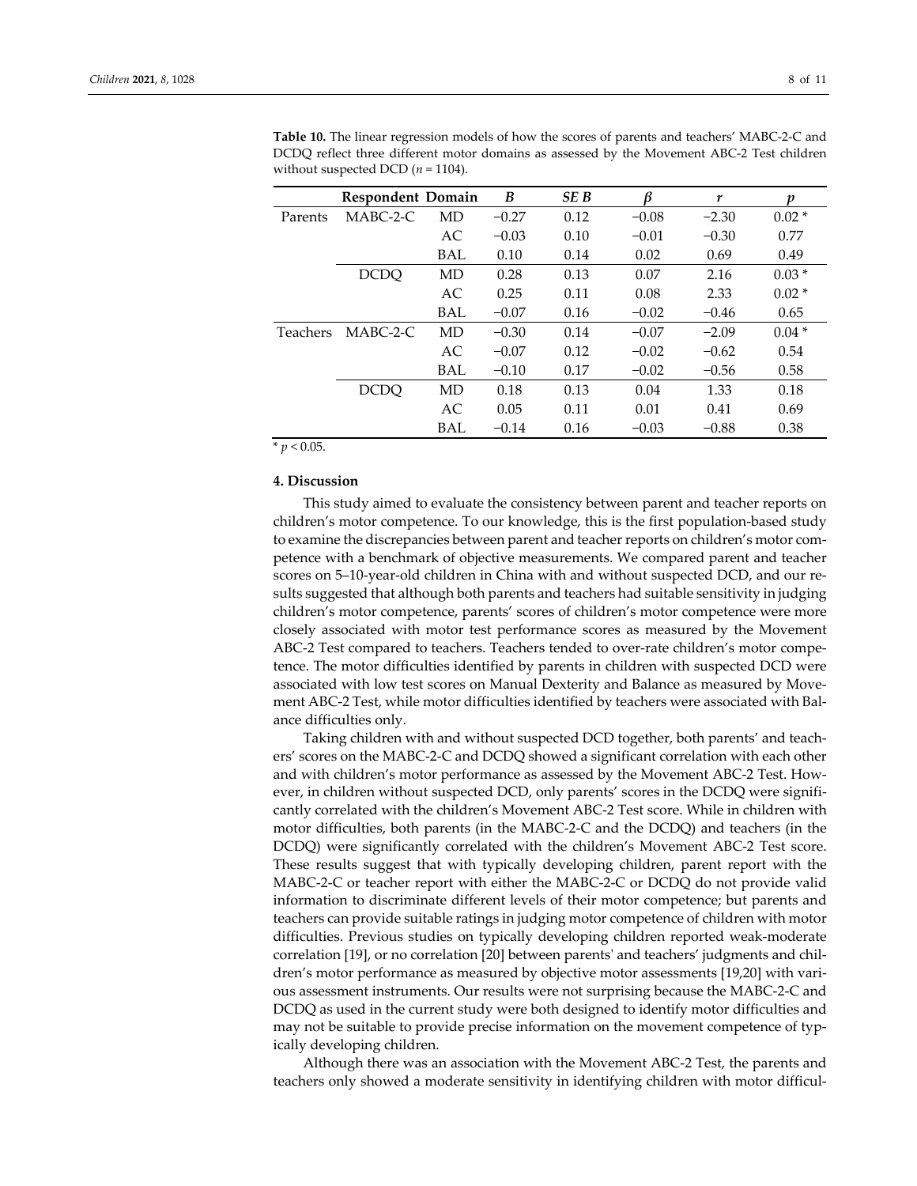|          | <b>Respondent Domain</b> |            | B       | <b>SEB</b> | ß       | r       | v       |
|----------|--------------------------|------------|---------|------------|---------|---------|---------|
| Parents  | $MABC-2-C$               | MD         | $-0.27$ | 0.12       | $-0.08$ | $-2.30$ | $0.02*$ |
|          |                          | AC         | $-0.03$ | 0.10       | $-0.01$ | $-0.30$ | 0.77    |
|          |                          | BAL        | 0.10    | 0.14       | 0.02    | 0.69    | 0.49    |
|          | <b>DCDO</b>              | MD         | 0.28    | 0.13       | 0.07    | 2.16    | $0.03*$ |
|          |                          | AC         | 0.25    | 0.11       | 0.08    | 2.33    | $0.02*$ |
|          |                          | <b>BAL</b> | $-0.07$ | 0.16       | $-0.02$ | $-0.46$ | 0.65    |
| Teachers | $MABC-2-C$               | MD         | $-0.30$ | 0.14       | $-0.07$ | $-2.09$ | $0.04*$ |
|          |                          | AC         | $-0.07$ | 0.12       | $-0.02$ | $-0.62$ | 0.54    |
|          |                          | BAL        | $-0.10$ | 0.17       | $-0.02$ | $-0.56$ | 0.58    |
|          | <b>DCDO</b>              | MD         | 0.18    | 0.13       | 0.04    | 1.33    | 0.18    |
|          |                          | AC         | 0.05    | 0.11       | 0.01    | 0.41    | 0.69    |
|          |                          | <b>BAL</b> | $-0.14$ | 0.16       | $-0.03$ | $-0.88$ | 0.38    |

**Table 10.** The linear regression models of how the scores of parents and teachers' MABC‐2‐C and DCDQ reflect three different motor domains as assessed by the Movement ABC‐2 Test children without suspected DCD  $(n = 1104)$ *.* 

 $* p < 0.05$ .

#### **4. Discussion**

This study aimed to evaluate the consistency between parent and teacher reports on children's motor competence. To our knowledge, this is the first population‐based study to examine the discrepancies between parent and teacher reports on children's motor competence with a benchmark of objective measurements. We compared parent and teacher scores on 5–10-year-old children in China with and without suspected DCD, and our results suggested that although both parents and teachers had suitable sensitivity in judging children's motor competence, parents' scores of children's motor competence were more closely associated with motor test performance scores as measured by the Movement ABC-2 Test compared to teachers. Teachers tended to over-rate children's motor competence. The motor difficulties identified by parents in children with suspected DCD were associated with low test scores on Manual Dexterity and Balance as measured by Move‐ ment ABC-2 Test, while motor difficulties identified by teachers were associated with Balance difficulties only.

Taking children with and without suspected DCD together, both parents' and teach‐ ers' scores on the MABC‐2‐C and DCDQ showed a significant correlation with each other and with children's motor performance as assessed by the Movement ABC-2 Test. However, in children without suspected DCD, only parents' scores in the DCDQ were significantly correlated with the children's Movement ABC‐2 Test score. While in children with motor difficulties, both parents (in the MABC‐2‐C and the DCDQ) and teachers (in the DCDQ) were significantly correlated with the children's Movement ABC‐2 Test score. These results suggest that with typically developing children, parent report with the MABC‐2‐C or teacher report with either the MABC‐2‐C or DCDQ do not provide valid information to discriminate different levels of their motor competence; but parents and teachers can provide suitable ratings in judging motor competence of children with motor difficulties. Previous studies on typically developing children reported weak‐moderate correlation [19], or no correlation [20] between parents' and teachers' judgments and children's motor performance as measured by objective motor assessments [19,20] with various assessment instruments. Our results were not surprising because the MABC‐2‐C and DCDQ as used in the current study were both designed to identify motor difficulties and may not be suitable to provide precise information on the movement competence of typ‐ ically developing children.

Although there was an association with the Movement ABC‐2 Test, the parents and teachers only showed a moderate sensitivity in identifying children with motor difficul‐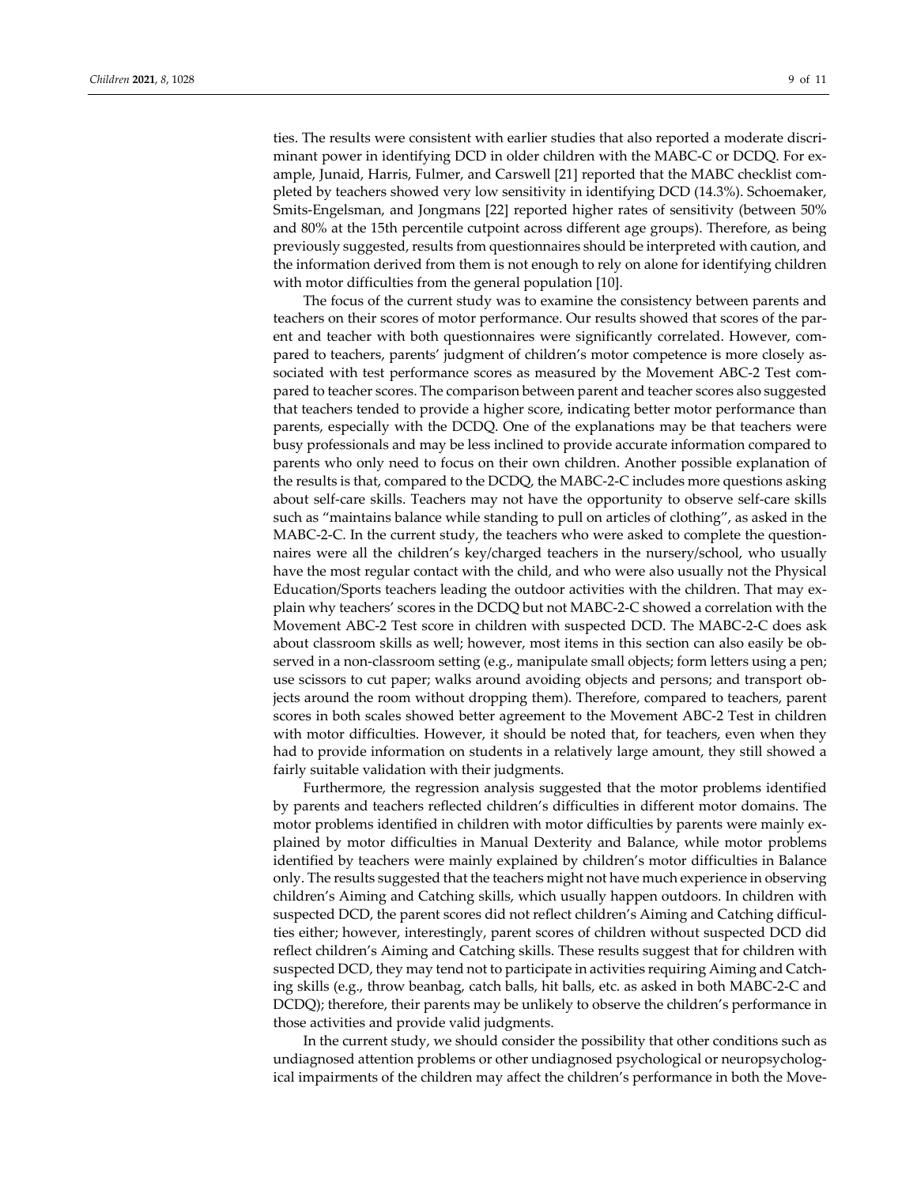ties. The results were consistent with earlier studies that also reported a moderate discriminant power in identifying DCD in older children with the MABC‐C or DCDQ. For ex‐ ample, Junaid, Harris, Fulmer, and Carswell [21] reported that the MABC checklist com‐ pleted by teachers showed very low sensitivity in identifying DCD (14.3%). Schoemaker, Smits‐Engelsman, and Jongmans [22] reported higher rates of sensitivity (between 50% and 80% at the 15th percentile cutpoint across different age groups). Therefore, as being previously suggested, results from questionnaires should be interpreted with caution, and the information derived from them is not enough to rely on alone for identifying children with motor difficulties from the general population [10].

The focus of the current study was to examine the consistency between parents and teachers on their scores of motor performance. Our results showed that scores of the par‐ ent and teacher with both questionnaires were significantly correlated. However, compared to teachers, parents' judgment of children's motor competence is more closely as‐ sociated with test performance scores as measured by the Movement ABC-2 Test compared to teacher scores. The comparison between parent and teacher scores also suggested that teachers tended to provide a higher score, indicating better motor performance than parents, especially with the DCDQ. One of the explanations may be that teachers were busy professionals and may be less inclined to provide accurate information compared to parents who only need to focus on their own children. Another possible explanation of the results is that, compared to the DCDQ, the MABC‐2‐C includes more questions asking about self‐care skills. Teachers may not have the opportunity to observe self‐care skills such as "maintains balance while standing to pull on articles of clothing", as asked in the MABC-2-C. In the current study, the teachers who were asked to complete the questionnaires were all the children's key/charged teachers in the nursery/school, who usually have the most regular contact with the child, and who were also usually not the Physical Education/Sports teachers leading the outdoor activities with the children. That may ex‐ plain why teachers' scores in the DCDQ but not MABC‐2‐C showed a correlation with the Movement ABC‐2 Test score in children with suspected DCD. The MABC‐2‐C does ask about classroom skills as well; however, most items in this section can also easily be ob‐ served in a non-classroom setting (e.g., manipulate small objects; form letters using a pen; use scissors to cut paper; walks around avoiding objects and persons; and transport ob‐ jects around the room without dropping them). Therefore, compared to teachers, parent scores in both scales showed better agreement to the Movement ABC‐2 Test in children with motor difficulties. However, it should be noted that, for teachers, even when they had to provide information on students in a relatively large amount, they still showed a fairly suitable validation with their judgments.

Furthermore, the regression analysis suggested that the motor problems identified by parents and teachers reflected children's difficulties in different motor domains. The motor problems identified in children with motor difficulties by parents were mainly explained by motor difficulties in Manual Dexterity and Balance, while motor problems identified by teachers were mainly explained by children's motor difficulties in Balance only. The results suggested that the teachers might not have much experience in observing children's Aiming and Catching skills, which usually happen outdoors. In children with suspected DCD, the parent scores did not reflect children's Aiming and Catching difficulties either; however, interestingly, parent scores of children without suspected DCD did reflect children's Aiming and Catching skills. These results suggest that for children with suspected DCD, they may tend not to participate in activities requiring Aiming and Catch‐ ing skills (e.g., throw beanbag, catch balls, hit balls, etc. as asked in both MABC‐2‐C and DCDQ); therefore, their parents may be unlikely to observe the children's performance in those activities and provide valid judgments.

In the current study, we should consider the possibility that other conditions such as undiagnosed attention problems or other undiagnosed psychological or neuropsychological impairments of the children may affect the children's performance in both the Move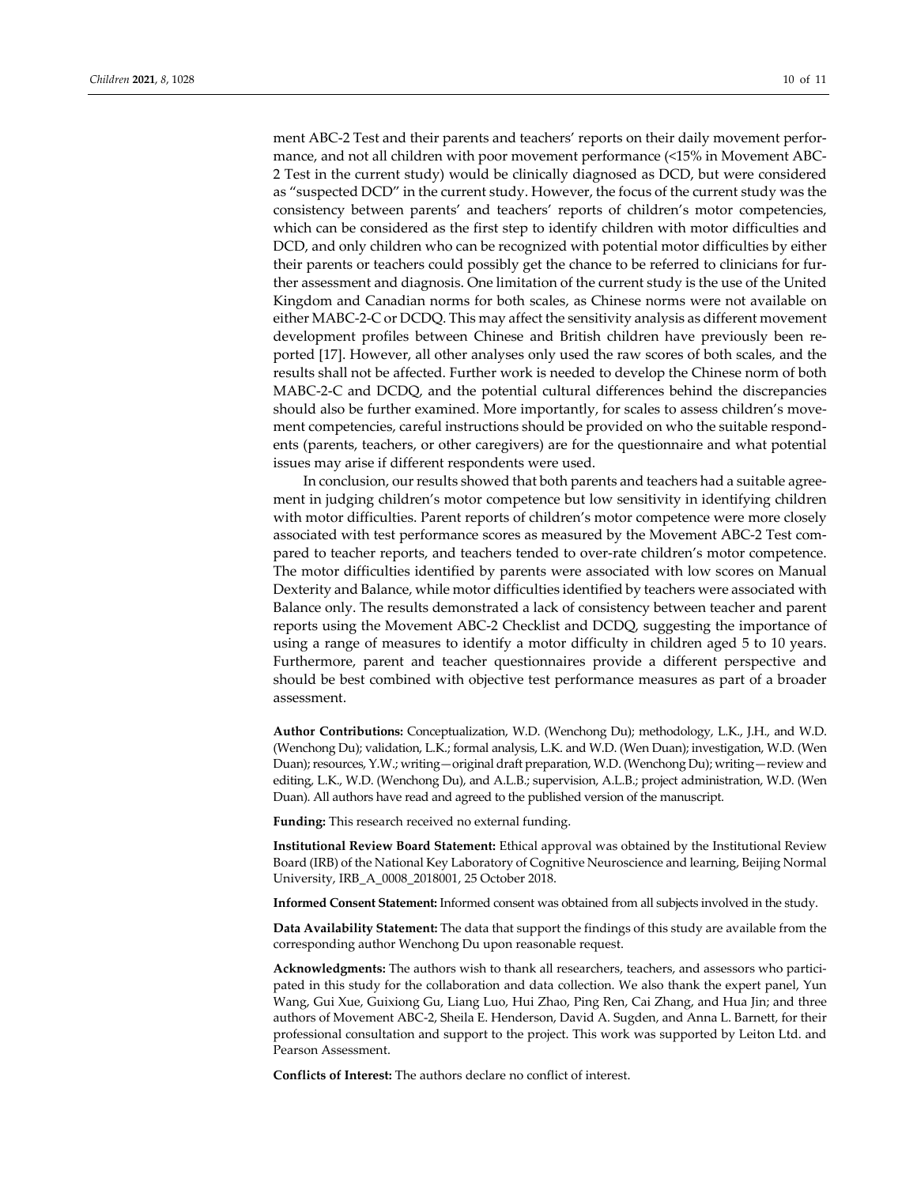ment ABC-2 Test and their parents and teachers' reports on their daily movement performance, and not all children with poor movement performance (<15% in Movement ABC‐ 2 Test in the current study) would be clinically diagnosed as DCD, but were considered as "suspected DCD" in the current study. However, the focus of the current study was the consistency between parents' and teachers' reports of children's motor competencies, which can be considered as the first step to identify children with motor difficulties and DCD, and only children who can be recognized with potential motor difficulties by either their parents or teachers could possibly get the chance to be referred to clinicians for fur‐ ther assessment and diagnosis. One limitation of the current study is the use of the United Kingdom and Canadian norms for both scales, as Chinese norms were not available on either MABC‐2‐C or DCDQ. This may affect the sensitivity analysis as different movement development profiles between Chinese and British children have previously been re‐ ported [17]. However, all other analyses only used the raw scores of both scales, and the results shall not be affected. Further work is needed to develop the Chinese norm of both MABC-2-C and DCDQ, and the potential cultural differences behind the discrepancies should also be further examined. More importantly, for scales to assess children's movement competencies, careful instructions should be provided on who the suitable respondents (parents, teachers, or other caregivers) are for the questionnaire and what potential issues may arise if different respondents were used.

In conclusion, our results showed that both parents and teachers had a suitable agreement in judging children's motor competence but low sensitivity in identifying children with motor difficulties. Parent reports of children's motor competence were more closely associated with test performance scores as measured by the Movement ABC‐2 Test com‐ pared to teacher reports, and teachers tended to over-rate children's motor competence. The motor difficulties identified by parents were associated with low scores on Manual Dexterity and Balance, while motor difficulties identified by teachers were associated with Balance only. The results demonstrated a lack of consistency between teacher and parent reports using the Movement ABC‐2 Checklist and DCDQ, suggesting the importance of using a range of measures to identify a motor difficulty in children aged 5 to 10 years. Furthermore, parent and teacher questionnaires provide a different perspective and should be best combined with objective test performance measures as part of a broader assessment.

**Author Contributions:** Conceptualization, W.D. (Wenchong Du); methodology, L.K., J.H., and W.D. (Wenchong Du); validation, L.K.; formal analysis, L.K. and W.D. (Wen Duan); investigation, W.D. (Wen Duan); resources, Y.W.; writing—original draft preparation, W.D. (Wenchong Du); writing—review and editing, L.K., W.D. (Wenchong Du), and A.L.B.; supervision, A.L.B.; project administration, W.D. (Wen Duan). All authors have read and agreed to the published version of the manuscript.

**Funding:** This research received no external funding.

**Institutional Review Board Statement:** Ethical approval was obtained by the Institutional Review Board (IRB) of the National Key Laboratory of Cognitive Neuroscience and learning, Beijing Normal University, IRB\_A\_0008\_2018001, 25 October 2018.

**Informed Consent Statement:** Informed consent was obtained from all subjects involved in the study.

**Data Availability Statement:** The data that support the findings of this study are available from the corresponding author Wenchong Du upon reasonable request.

Acknowledgments: The authors wish to thank all researchers, teachers, and assessors who participated in this study for the collaboration and data collection. We also thank the expert panel, Yun Wang, Gui Xue, Guixiong Gu, Liang Luo, Hui Zhao, Ping Ren, Cai Zhang, and Hua Jin; and three authors of Movement ABC‐2, Sheila E. Henderson, David A. Sugden, and Anna L. Barnett, for their professional consultation and support to the project. This work was supported by Leiton Ltd. and Pearson Assessment.

**Conflicts of Interest:** The authors declare no conflict of interest.